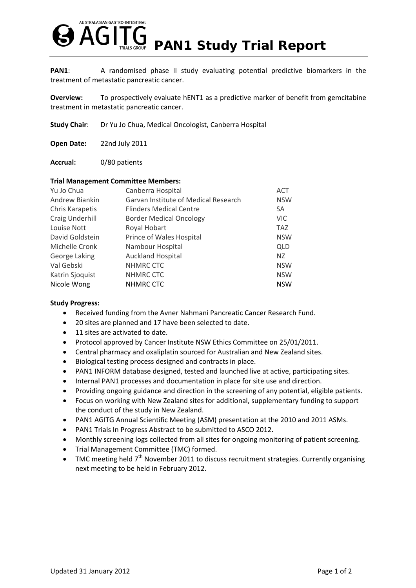

**PAN1:** A randomised phase II study evaluating potential predictive biomarkers in the treatment of metastatic pancreatic cancer.

**Overview:** To prospectively evaluate hENT1 as a predictive marker of benefit from gemcitabine treatment in metastatic pancreatic cancer.

**Study Chair**: Dr Yu Jo Chua, Medical Oncologist, Canberra Hospital

**Open Date:** 22nd July 2011

**Accrual:** 0/80 patients

## **Trial Management Committee Members:**

| Canberra Hospital                    | <b>ACT</b> |
|--------------------------------------|------------|
| Garvan Institute of Medical Research | <b>NSW</b> |
| <b>Flinders Medical Centre</b>       | SA         |
| <b>Border Medical Oncology</b>       | <b>VIC</b> |
| Royal Hobart                         | <b>TAZ</b> |
| Prince of Wales Hospital             | <b>NSW</b> |
| Nambour Hospital                     | <b>QLD</b> |
| <b>Auckland Hospital</b>             | NZ         |
| NHMRC CTC                            | <b>NSW</b> |
| NHMRC CTC                            | <b>NSW</b> |
| <b>NHMRC CTC</b>                     | <b>NSW</b> |
|                                      |            |

## **Study Progress:**

- Received funding from the Avner Nahmani Pancreatic Cancer Research Fund.
- 20 sites are planned and 17 have been selected to date.
- 11 sites are activated to date.
- Protocol approved by Cancer Institute NSW Ethics Committee on 25/01/2011.
- Central pharmacy and oxaliplatin sourced for Australian and New Zealand sites.
- Biological testing process designed and contracts in place.
- PAN1 INFORM database designed, tested and launched live at active, participating sites.
- Internal PAN1 processes and documentation in place for site use and direction.
- Providing ongoing guidance and direction in the screening of any potential, eligible patients.
- Focus on working with New Zealand sites for additional, supplementary funding to support the conduct of the study in New Zealand.
- PAN1 AGITG Annual Scientific Meeting (ASM) presentation at the 2010 and 2011 ASMs.
- PAN1 Trials In Progress Abstract to be submitted to ASCO 2012.
- Monthly screening logs collected from all sites for ongoing monitoring of patient screening.
- Trial Management Committee (TMC) formed.
- TMC meeting held  $7<sup>th</sup>$  November 2011 to discuss recruitment strategies. Currently organising next meeting to be held in February 2012.